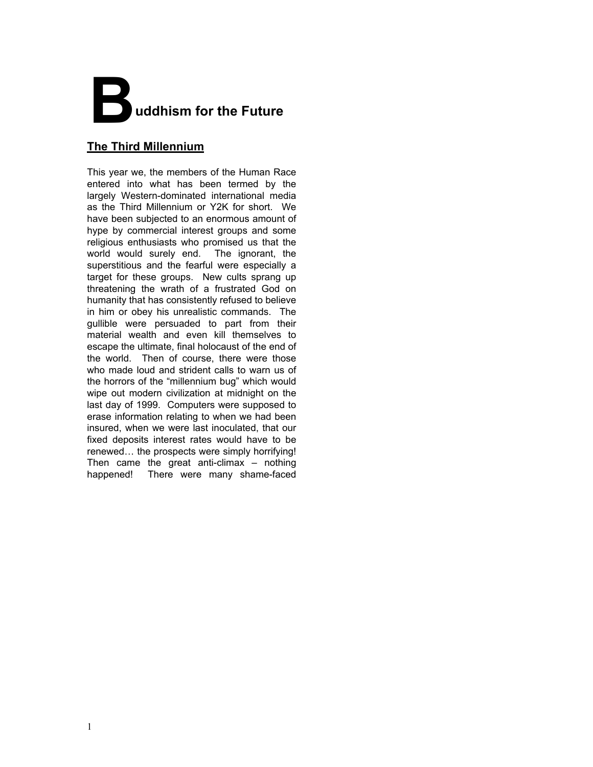# **B uddhism for the Future**

# **he Third T Millennium**

This year we, the members of the Human Race entered into what has been termed by the largely Western-dominated international media as the Third Millennium or Y2K for short. We have been subjected to an enormous amount of hype by commercial interest groups and some religious enthusiasts who promised us that the world would surely end. The ignorant, the superstitious and the fearful were especially a target for these groups. New cults sprang up threatening the wrath of a frustrated God on humanity that has consistently refused to believe in him or obey his unrealistic commands. The gullible were persuaded to part from their material wealth and even kill themselves to escape the ultimate, final holocaust of the end of the world. Then of course, there were those who made loud and strident calls to warn us of the horrors of the "millennium bug" which would wipe out modern civilization at midnight on the last day of 1999. Computers were supposed to erase information relating to when we had been insured, when we were last inoculated, that our fixed deposits interest rates would have to be renewed… the prospects were simply horrifying! Then came the great anti-climax – nothing happened! There were many shame-faced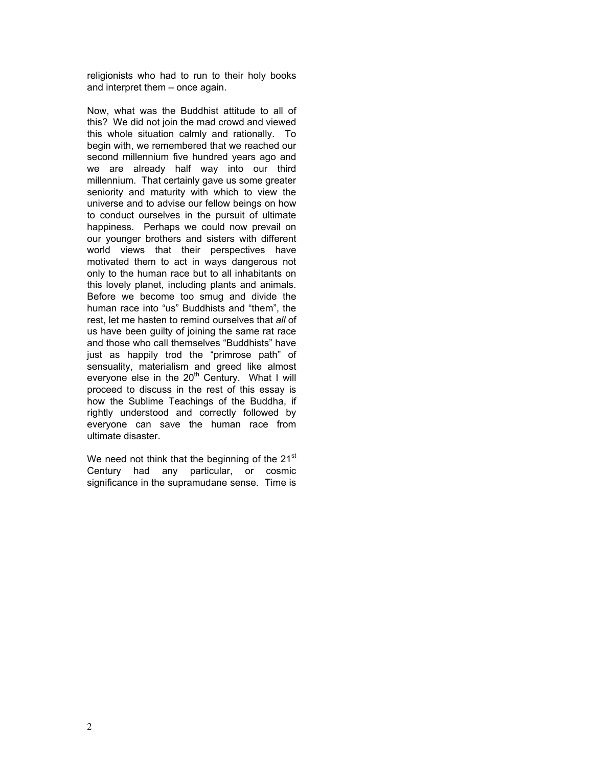religionists who had to run to their holy books and interpret them – once again.

Now, what was the Buddhist attitude to all of this? We did not join the mad crowd and viewed this whole situation calmly and rationally. To begin with, we remembered that we reached our second millennium five hundred years ago and we are already half way into our third millennium. That certainly gave us some greater seniority and maturity with which to view the universe and to advise our fellow beings on how to conduct ourselves in the pursuit of ultimate happiness. Perhaps we could now prevail on our younger brothers and sisters with different world views that their perspectives have motivated them to act in ways dangerous not only to the human race but to all inhabitants on this lovely planet, including plants and animals. Before we become too smug and divide the human race into "us" Buddhists and "them", the rest, let me hasten to remind ourselves that *all* of us have been guilty of joining the same rat race and those who call themselves "Buddhists" have just as happily trod the "primrose path" of sensuality, materialism and greed like almost everyone else in the 20<sup>th</sup> Century. What I will proceed to discuss in the rest of this essay is how the Sublime Teachings of the Buddha, if rightly understood and correctly followed by everyone can save the human race from ultimate disaster.

We need not think that the beginning of the  $21<sup>st</sup>$ Century had any particular, or cosmic significance in the supramudane sense. Time is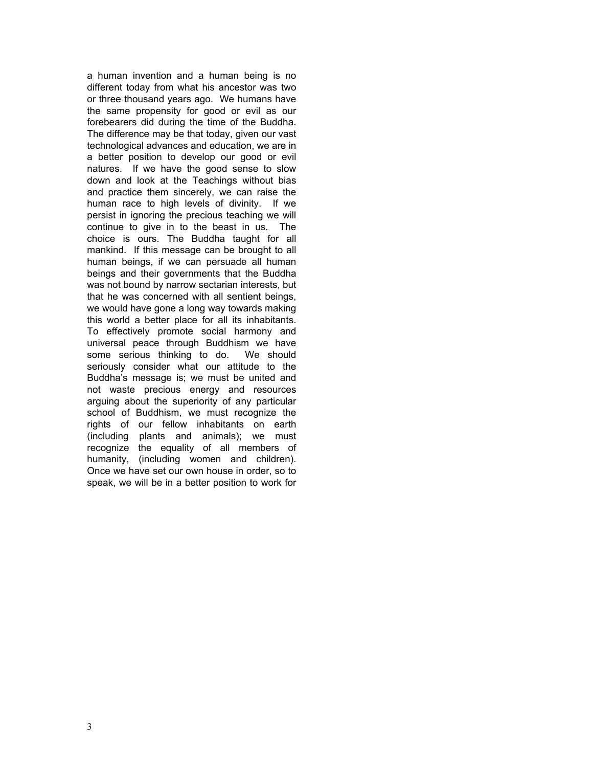a human invention and a human being is no different today from what his ancestor was two or three thousand years ago. We humans have the same propensity for good or evil as our forebearers did during the time of the Buddha. The difference may be that today, given our vast technological advances and education, we are in a better position to develop our good or evil natures. If we have the good sense to slow down and look at the Teachings without bias and practice them sincerely, we can raise the human race to high levels of divinity. If we persist in ignoring the precious teaching we will continue to give in to the beast in us. The choice is ours. The Buddha taught for all mankind. If this message can be brought to all human beings, if we can persuade all human beings and their governments that the Buddha was not bound by narrow sectarian interests, but that he was concerned with all sentient beings, we would have gone a long way towards making this world a better place for all its inhabitants. To effectively promote social harmony and universal peace through Buddhism we have some serious thinking to do. We should seriously consider what our attitude to the Buddha's message is; we must be united and not waste precious energy and resources arguing about the superiority of any particular school of Buddhism, we must recognize the rights of our fellow inhabitants on earth (including plants and animals); we must recognize the equality of all members of humanity, (including women and children). Once we have set our own house in order, so to speak, we will be in a better position to work for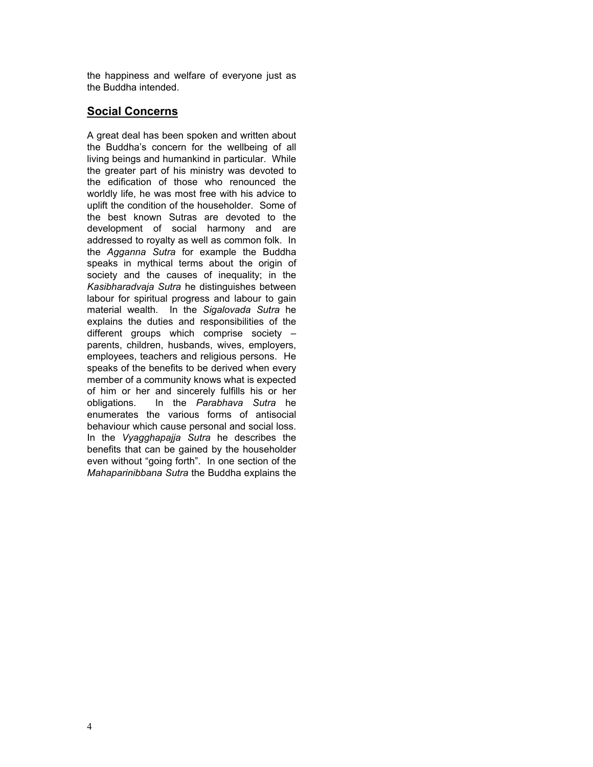the happiness and welfare of everyone just as the Buddha intended.

#### **Social Concerns**

A great deal has been spoken and written about the Buddha's concern for the wellbeing of all living beings and humankind in particular. While the greater part of his ministry was devoted to the edification of those who renounced the worldly life, he was most free with his advice to uplift the condition of the householder. Some of the best known Sutras are devoted to the development of social harmony and are addressed to royalty as well as common folk. In the *Agganna Sutra* for example the Buddha speaks in mythical terms about the origin of society and the causes of inequality; in the *Kasibharadvaja Sutra* he distinguishes between labour for spiritual progress and labour to gain material wealth. In the *Sigalovada Sutra* he explains the duties and responsibilities of the different groups which comprise society – parents, children, husbands, wives, employers, employees, teachers and religious persons. He speaks of the benefits to be derived when every member of a community knows what is expected of him or her and sincerely fulfills his or her obligations. In the *Parabhava Sutra* he enumerates the various forms of antisocial behaviour which cause personal and social loss. In the *Vyagghapajja Sutra* he describes the benefits that can be gained by the householder even without "going forth". In one section of the *Mahaparinibbana Sutra* the Buddha explains the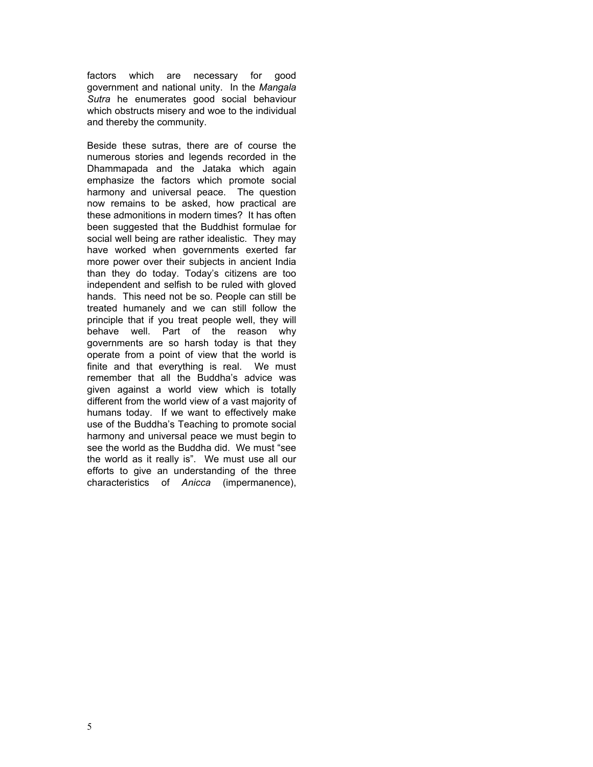factors which are necessary for good government and national unity. In the *Mangala Sutra* he enumerates good social behaviour which obstructs misery and woe to the individual and thereby the community.

Beside these sutras, there are of course the numerous stories and legends recorded in the Dhammapada and the Jataka which again emphasize the factors which promote social harmony and universal peace. The question now remains to be asked, how practical are these admonitions in modern times? It has often been suggested that the Buddhist formulae for social well being are rather idealistic. They may have worked when governments exerted far more power over their subjects in ancient India than they do today. Today's citizens are too independent and selfish to be ruled with gloved hands. This need not be so. People can still be treated humanely and we can still follow the principle that if you treat people well, they will behave well. Part of the reason why governments are so harsh today is that they operate from a point of view that the world is finite and that everything is real. We must remember that all the Buddha's advice was given against a world view which is totally different from the world view of a vast majority of humans today. If we want to effectively make use of the Buddha's Teaching to promote social harmony and universal peace we must begin to see the world as the Buddha did. We must "see the world as it really is". We must use all our efforts to give an understanding of the three characteristics of *Anicca* (impermanence),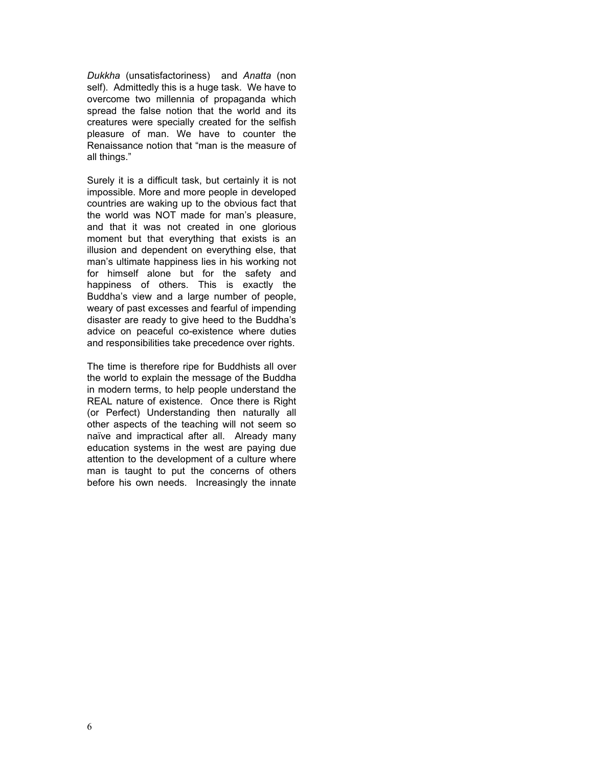*Dukkha* (unsatisfactoriness)and *Anatta* (non self).Admittedly this is a huge task. We have to overcome two millennia of propaganda which spread the false notion that the world and its creatures were specially created for the selfish pleasure of man. We have to counter the Renaissance notion that "man is the measure of all things."

Surely it is a difficult task, but certainly it is not impossible. More and more people in developed countries are waking up to the obvious fact that the world was NOT made for man's pleasure, and that it was not created in one glorious moment but that everything that exists is an illusion and dependent on everything else, that man's ultimate happiness lies in his working not for himself alone but for the safety and happiness of others. This is exactly the Buddha's view and a large number of people, weary of past excesses and fearful of impending disaster are ready to give heed to the Buddha's advice on peaceful co-existence where duties and responsibilities take precedence over rights.

The time is therefore ripe for Buddhists all over the world to explain the message of the Buddha in modern terms, to help people understand the REAL nature of existence. Once there is Right (or Perfect) Understanding then naturally all other aspects of the teaching will not seem so naïve and impractical after all. Already many education systems in the west are paying due attention to the development of a culture where man is taught to put the concerns of others before his own needs. Increasingly the innate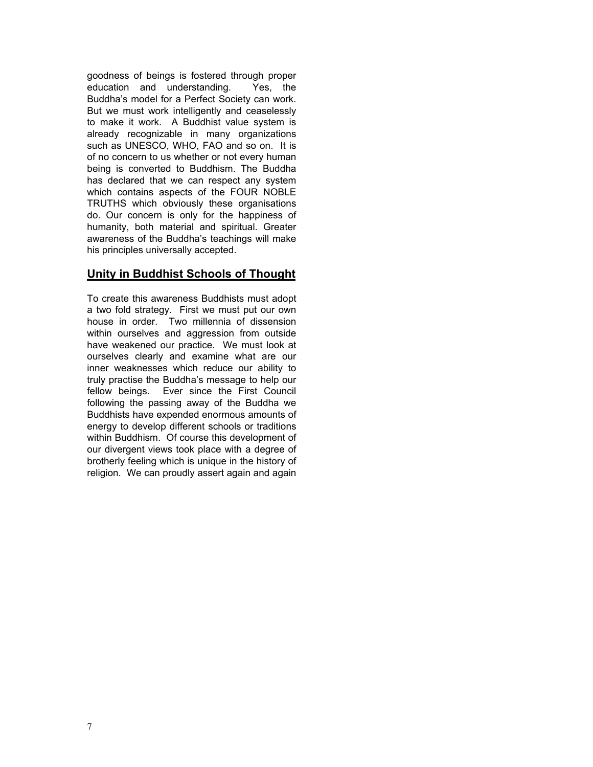goodness of beings is fostered through proper education and understanding. Yes, the Buddha's model for a Perfect Society can work. But we must work intelligently and ceaselessly to make it work. A Buddhist value system is already recognizable in many organizations such as UNESCO, WHO, FAO and so on. It is of no concern to us whether or not every human being is converted to Buddhism. The Buddha has declared that we can respect any system which contains aspects of the FOUR NOBLE TRUTHS which obviously these organisations do. Our concern is only for the happiness of humanity, both material and spiritual. Greater awareness of the Buddha's teachings will make his principles universally accepted.

## **Unity in Buddhist Schools of Thought**

To create this awareness Buddhists must adopt a two fold strategy. First we must put our own house in order. Two millennia of dissension within ourselves and aggression from outside have weakened our practice. We must look at ourselves clearly and examine what are our inner weaknesses which reduce our ability to truly practise the Buddha's message to help our fellow beings. Ever since the First Council following the passing away of the Buddha we Buddhists have expended enormous amounts of energy to develop different schools or traditions within Buddhism. Of course this development of our divergent views took place with a degree of brotherly feeling which is unique in the history of religion. We can proudly assert again and again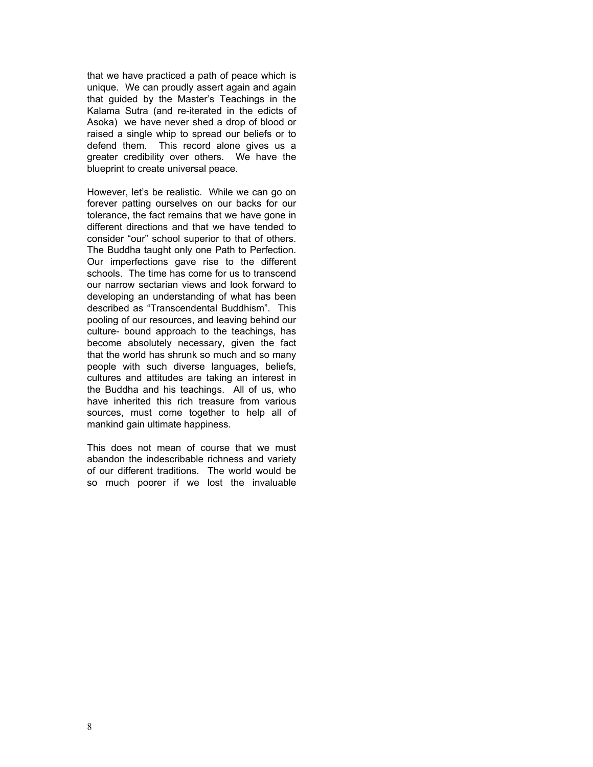that we have practiced a path of peace which is unique. We can proudly assert again and again that guided by the Master's Teachings in the Kalama Sutra (and re-iterated in the edicts of Asoka) we have never shed a drop of blood or raised a single whip to spread our beliefs or to defend them. This record alone gives us a greater credibility over others. We have the blueprint to create universal peace.

However, let's be realistic. While we can go on forever patting ourselves on our backs for our tolerance, the fact remains that we have gone in different directions and that we have tended to consider "our" school superior to that of others. The Buddha taught only one Path to Perfection. Our imperfections gave rise to the different schools. The time has come for us to transcend our narrow sectarian views and look forward to developing an understanding of what has been described as "Transcendental Buddhism". This pooling of our resources, and leaving behind our culture- bound approach to the teachings, has become absolutely necessary, given the fact that the world has shrunk so much and so many people with such diverse languages, beliefs, cultures and attitudes are taking an interest in the Buddha and his teachings. All of us, who have inherited this rich treasure from various sources, must come together to help all of mankind gain ultimate happiness.

This does not mean of course that we must abandon the indescribable richness and variety of our different traditions. The world would be so much poorer if we lost the invaluable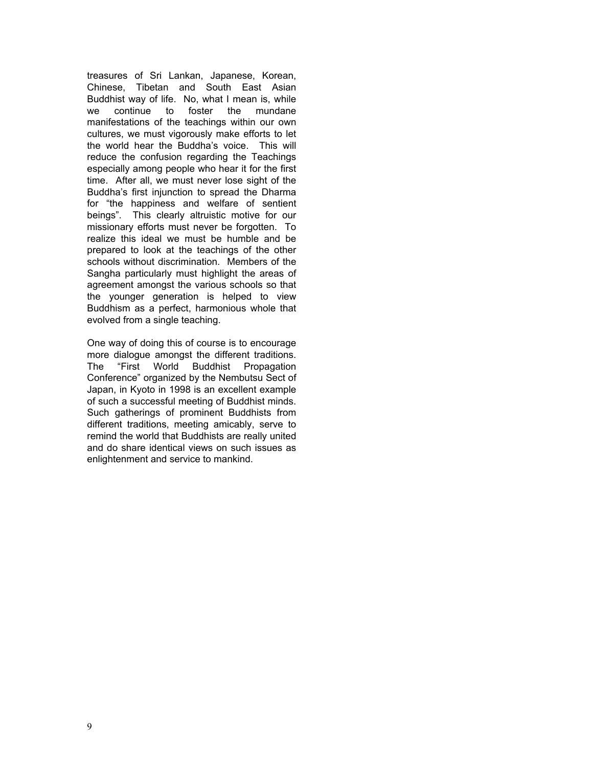treasures of Sri Lankan, Japanese, Korean, Chinese, Tibetan and South East Asian Buddhist way of life. No, what I mean is, while we continue to foster the mundane manifestations of the teachings within our own cultures, we must vigorously make efforts to let the world hear the Buddha's voice. This will reduce the confusion regarding the Teachings especially among people who hear it for the first time. After all, we must never lose sight of the Buddha's first injunction to spread the Dharma for "the happiness and welfare of sentient beings". This clearly altruistic motive for our missionary efforts must never be forgotten. To realize this ideal we must be humble and be prepared to look at the teachings of the other schools without discrimination. Members of the Sangha particularly must highlight the areas of agreement amongst the various schools so that the younger generation is helped to view Buddhism as a perfect, harmonious whole that evolved from a single teaching.

One way of doing this of course is to encourage more dialogue amongst the different traditions. The "First World Buddhist Propagation Conference" organized by the Nembutsu Sect of Japan, in Kyoto in 1998 is an excellent example of such a successful meeting of Buddhist minds. Such gatherings of prominent Buddhists from different traditions, meeting amicably, serve to remind the world that Buddhists are really united and do share identical views on such issues as enlightenment and service to mankind.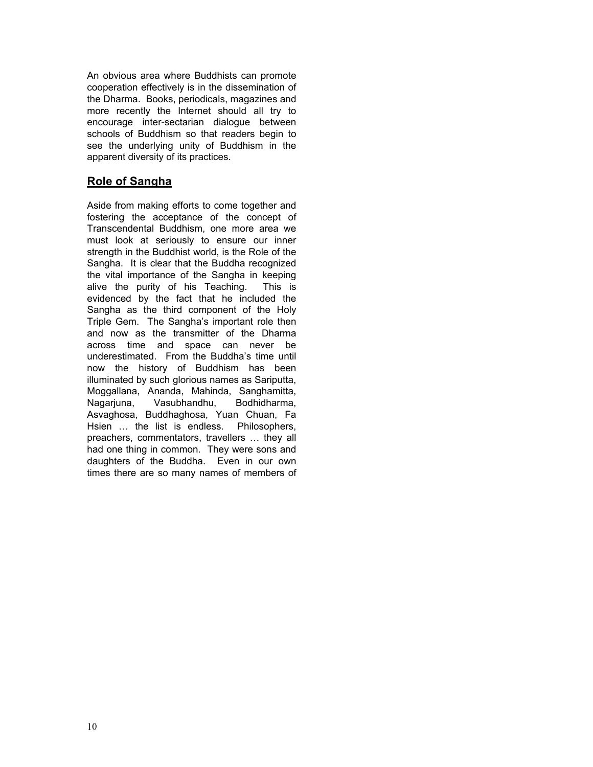An obvious area where Buddhists can promote cooperation effectively is in the dissemination of the Dharma. Books, periodicals, magazines and more recently the Internet should all try to encourage inter-sectarian dialogue between schools of Buddhism so that readers begin to see the underlying unity of Buddhism in the apparent diversity of its practices.

## **Role of Sangha**

Aside from making efforts to come together and fostering the acceptance of the concept of Transcendental Buddhism, one more area we must look at seriously to ensure our inner strength in the Buddhist world, is the Role of the Sangha. It is clear that the Buddha recognized the vital importance of the Sangha in keeping alive the purity of his Teaching. This is evidenced by the fact that he included the Sangha as the third component of the Holy Triple Gem. The Sangha's important role then and now as the transmitter of the Dharma across time and space can never be underestimated. From the Buddha's time until now the history of Buddhism has been illuminated by such glorious names as Sariputta, Moggallana, Ananda, Mahinda, Sanghamitta, Nagarjuna, Vasubhandhu, Bodhidharma, Asvaghosa, Buddhaghosa, Yuan Chuan, Fa Hsien … the list is endless. Philosophers, preachers, commentators, travellers … they all had one thing in common. They were sons and daughters of the Buddha. Even in our own times there are so many names of members of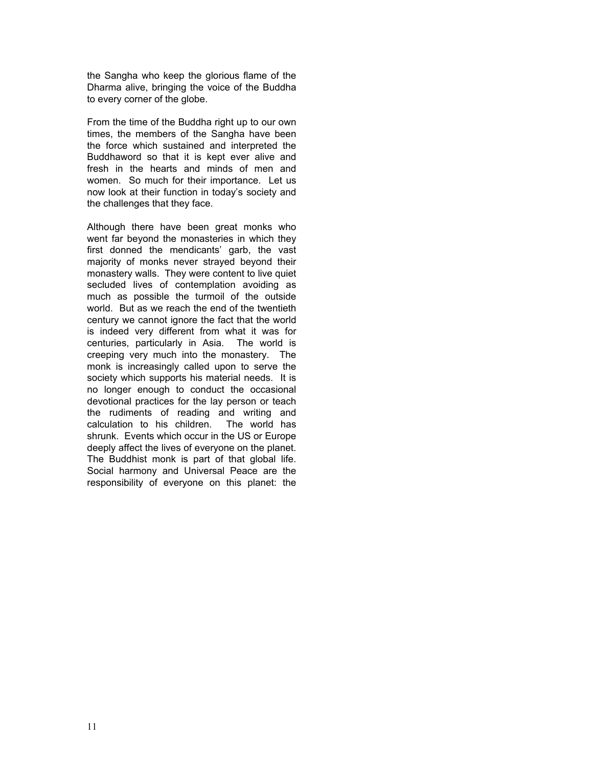the Sangha who keep the glorious flame of the Dharma alive, bringing the voice of the Buddha to every corner of the globe.

From the time of the Buddha right up to our own times, the members of the Sangha have been the force which sustained and interpreted the Buddhaword so that it is kept ever alive and fresh in the hearts and minds of men and women. So much for their importance. Let us now look at their function in today's society and the challenges that they face.

Although there have been great monks who went far beyond the monasteries in which they first donned the mendicants' garb, the vast majority of monks never strayed beyond their monastery walls. They were content to live quiet secluded lives of contemplation avoiding as much as possible the turmoil of the outside world. But as we reach the end of the twentieth century we cannot ignore the fact that the world is indeed very different from what it was for centuries, particularly in Asia. The world is creeping very much into the monastery. The monk is increasingly called upon to serve the society which supports his material needs. It is no longer enough to conduct the occasional devotional practices for the lay person or teach the rudiments of reading and writing and calculation to his children. The world has shrunk. Events which occur in the US or Europe deeply affect the lives of everyone on the planet. The Buddhist monk is part of that global life. Social harmony and Universal Peace are the responsibility of everyone on this planet: the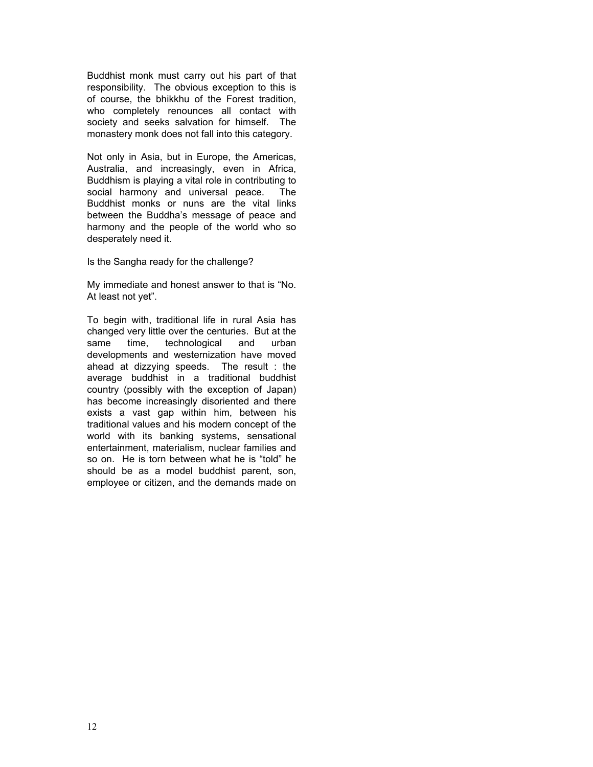Buddhist monk must carry out his part of that responsibility. The obvious exception to this is of course, the bhikkhu of the Forest tradition, who completely renounces all contact with society and seeks salvation for himself. The monastery monk does not fall into this category.

Not only in Asia, but in Europe, the Americas, Australia, and increasingly, even in Africa, Buddhism is playing a vital role in contributing to social harmony and universal peace. The Buddhist monks or nuns are the vital links between the Buddha's message of peace and harmony and the people of the world who so desperately need it.

Is the Sangha ready for the challenge?

My immediate and honest answer to that is "No. At least not yet".

To begin with, traditional life in rural Asia has changed very little over the centuries. But at the same time, technological and urban developments and westernization have moved ahead at dizzying speeds. The result : the average buddhist in a traditional buddhist country (possibly with the exception of Japan) has become increasingly disoriented and there exists a vast gap within him, between his traditional values and his modern concept of the world with its banking systems, sensational entertainment, materialism, nuclear families and so on. He is torn between what he is "told" he should be as a model buddhist parent, son, employee or citizen, and the demands made on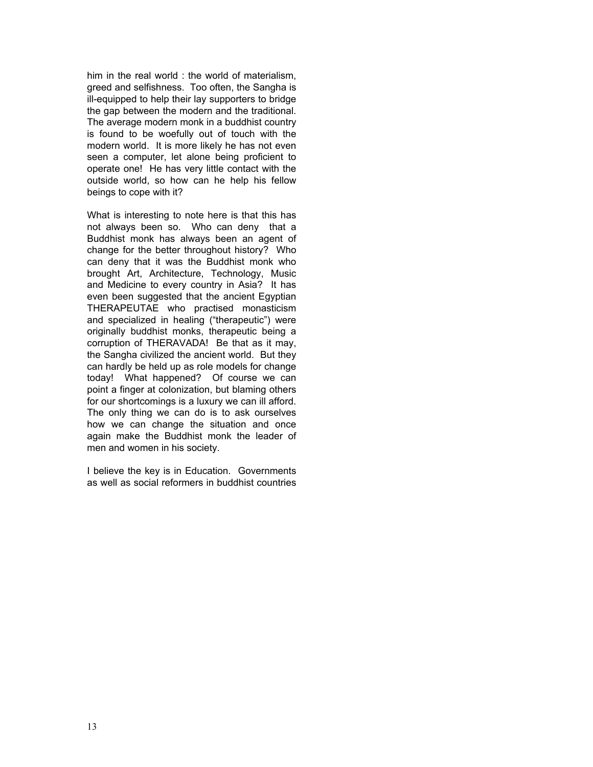him in the real world : the world of materialism, greed and selfishness. Too often, the Sangha is ill-equipped to help their lay supporters to bridge the gap between the modern and the traditional. The average modern monk in a buddhist country is found to be woefully out of touch with the modern world. It is more likely he has not even seen a computer, let alone being proficient to operate one! He has very little contact with the outside world, so how can he help his fellow beings to cope with it?

What is interesting to note here is that this has not always been so. Who can deny that a Buddhist monk has always been an agent of change for the better throughout history? Who can deny that it was the Buddhist monk who brought Art, Architecture, Technology, Music and Medicine to every country in Asia? It has even been suggested that the ancient Egyptian THERAPEUTAE who practised monasticism and specialized in healing ("therapeutic") were originally buddhist monks, therapeutic being a corruption of THERAVADA! Be that as it may, the Sangha civilized the ancient world. But they can hardly be held up as role models for change today! What happened? Of course we can point a finger at colonization, but blaming others for our shortcomings is a luxury we can ill afford. The only thing we can do is to ask ourselves how we can change the situation and once again make the Buddhist monk the leader of men and women in his society.

I believe the key is in Education. Governments as well as social reformers in buddhist countries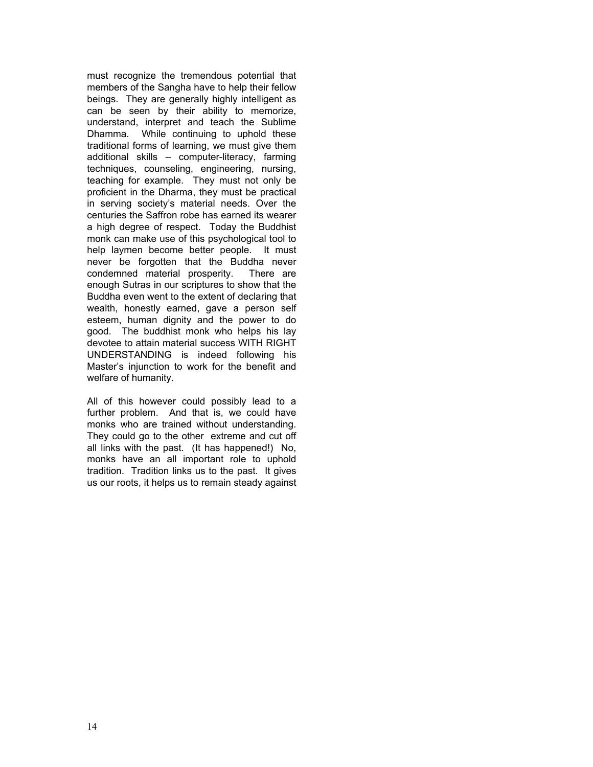must recognize the tremendous potential that members of the Sangha have to help their fellow beings. They are generally highly intelligent as can be seen by their ability to memorize, understand, interpret and teach the Sublime Dhamma. While continuing to uphold these traditional forms of learning, we must give them additional skills – computer-literacy, farming techniques, counseling, engineering, nursing, teaching for example. They must not only be proficient in the Dharma, they must be practical in serving society's material needs. Over the centuries the Saffron robe has earned its wearer a high degree of respect. Today the Buddhist monk can make use of this psychological tool to help laymen become better people. It must never be forgotten that the Buddha never condemned material prosperity. There are enough Sutras in our scriptures to show that the Buddha even went to the extent of declaring that wealth, honestly earned, gave a person self esteem, human dignity and the power to do good. The buddhist monk who helps his lay devotee to attain material success WITH RIGHT UNDERSTANDING is indeed following his Master's injunction to work for the benefit and welfare of humanity.

All of this however could possibly lead to a further problem. And that is, we could have monks who are trained without understanding. They could go to the other extreme and cut off all links with the past. (It has happened!) No, monks have an all important role to uphold tradition. Tradition links us to the past. It gives us our roots, it helps us to remain steady against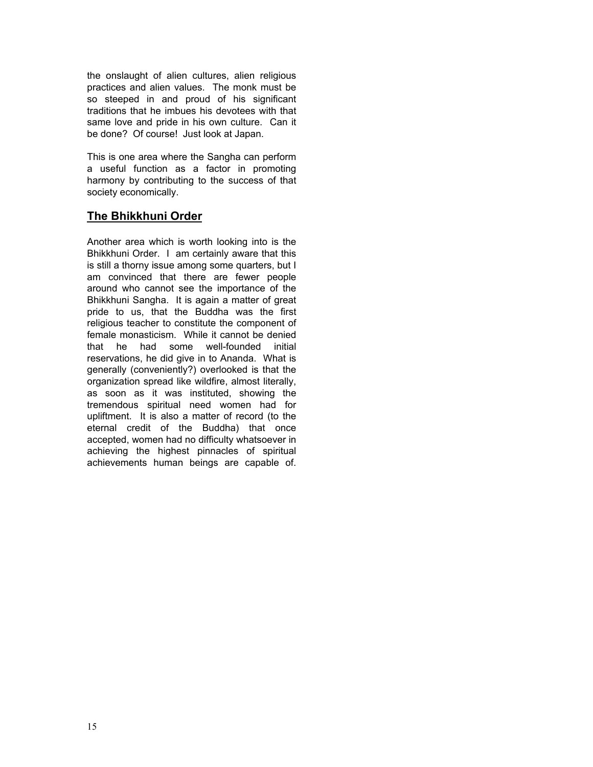the onslaught of alien cultures, alien religious practices and alien values. The monk must be so steeped in and proud of his significant traditions that he imbues his devotees with that same love and pride in his own culture. Can it be done? Of course! Just look at Japan.

This is one area where the Sangha can perform a useful function as a factor in promoting harmony by contributing to the success of that society economically.

### **The Bhikkhuni Order**

Another area which is worth looking into is the Bhikkhuni Order. I am certainly aware that this is still a thorny issue among some quarters, but I am convinced that there are fewer people around who cannot see the importance of the Bhikkhuni Sangha. It is again a matter of great pride to us, that the Buddha was the first religious teacher to constitute the component of female monasticism. While it cannot be denied that he had some well-founded initial reservations, he did give in to Ananda. What is generally (conveniently?) overlooked is that the organization spread like wildfire, almost literally, as soon as it was instituted, showing the tremendous spiritual need women had for upliftment. It is also a matter of record (to the eternal credit of the Buddha) that once accepted, women had no difficulty whatsoever in achieving the highest pinnacles of spiritual achievements human beings are capable of.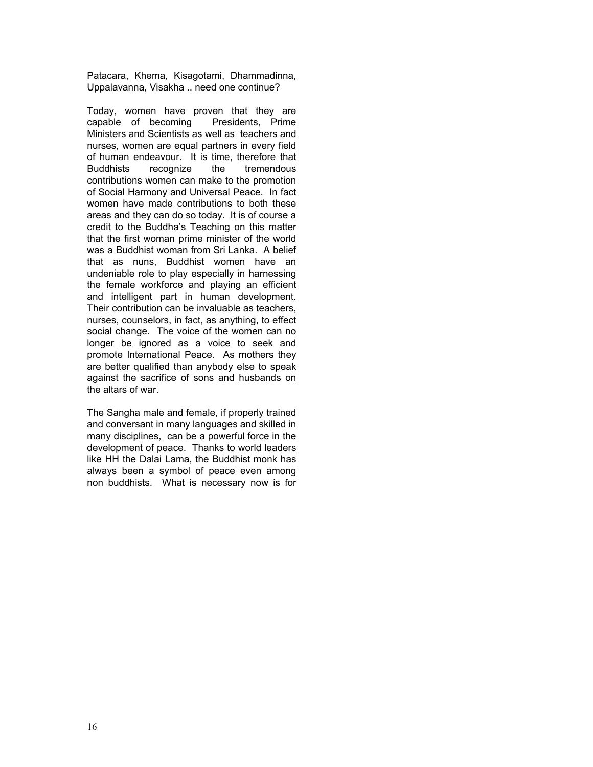Patacara, Khema, Kisagotami, Dhammadinna, Uppalavanna, Visakha .. need one continue?

Today, women have proven that they are capable of becoming Presidents, Prime Ministers and Scientists as well as teachers and nurses, women are equal partners in every field of human endeavour. It is time, therefore that Buddhists recognize the tremendous contributions women can make to the promotion of Social Harmony and Universal Peace. In fact women have made contributions to both these areas and they can do so today. It is of course a credit to the Buddha's Teaching on this matter that the first woman prime minister of the world was a Buddhist woman from Sri Lanka. A belief that as nuns, Buddhist women have an undeniable role to play especially in harnessing the female workforce and playing an efficient and intelligent part in human development. Their contribution can be invaluable as teachers, nurses, counselors, in fact, as anything, to effect social change. The voice of the women can no longer be ignored as a voice to seek and promote International Peace. As mothers they are better qualified than anybody else to speak against the sacrifice of sons and husbands on the altars of war.

The Sangha male and female, if properly trained and conversant in many languages and skilled in many disciplines, can be a powerful force in the development of peace. Thanks to world leaders like HH the Dalai Lama, the Buddhist monk has always been a symbol of peace even among non buddhists. What is necessary now is for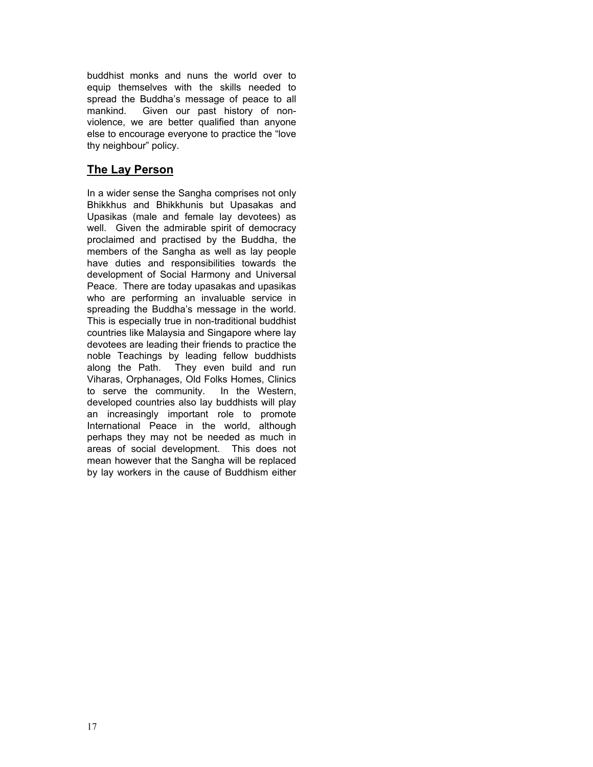buddhist monks and nuns the world over to equip themselves with the skills needed to spread the Buddha's message of peace to all mankind. Given our past history of nonviolence, we are better qualified than anyone else to encourage everyone to practice the "love thy neighbour" policy.

# **The Lay Person**

In a wider sense the Sangha comprises not only Bhikkhus and Bhikkhunis but Upasakas and Upasikas (male and female lay devotees) as well. Given the admirable spirit of democracy proclaimed and practised by the Buddha, the members of the Sangha as well as lay people have duties and responsibilities towards the development of Social Harmony and Universal Peace. There are today upasakas and upasikas who are performing an invaluable service in spreading the Buddha's message in the world. This is especially true in non-traditional buddhist countries like Malaysia and Singapore where lay devotees are leading their friends to practice the noble Teachings by leading fellow buddhists along the Path. They even build and run Viharas, Orphanages, Old Folks Homes, Clinics to serve the community. In the Western, developed countries also lay buddhists will play an increasingly important role to promote International Peace in the world, although perhaps they may not be needed as much in areas of social development. This does not mean however that the Sangha will be replaced by lay workers in the cause of Buddhism either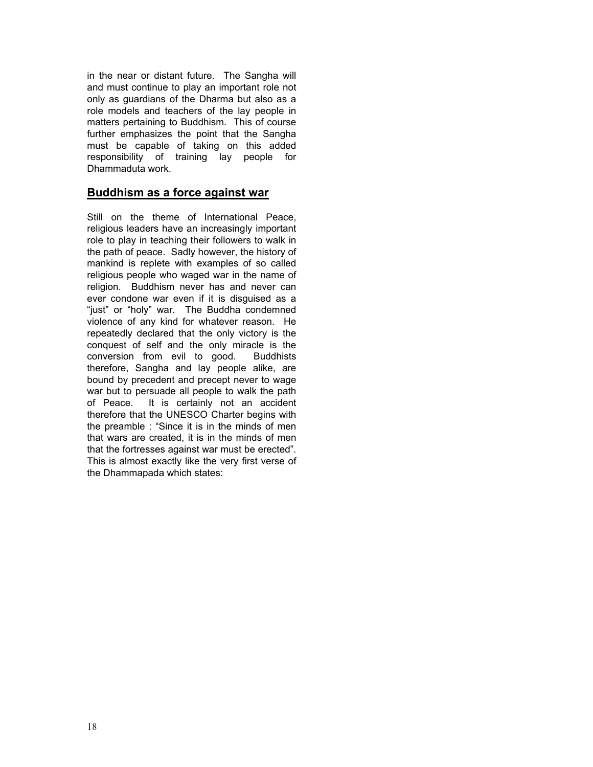in the near or distant future. The Sangha will and must continue to play an important role not only as guardians of the Dharma but also as a role models and teachers of the lay people in matters pertaining to Buddhism. This of course further emphasizes the point that the Sangha must be capable of taking on this added responsibility of training lay people for Dhammaduta work.

#### **Buddhism as a force against war**

Still on the theme of International Peace, religious leaders have an increasingly important role to play in teaching their followers to walk in the path of peace. Sadly however, the history of mankind is replete with examples of so called religious people who waged war in the name of religion. Buddhism never has and never can ever condone war even if it is disguised as a "just" or "holy" war. The Buddha condemned violence of any kind for whatever reason. He repeatedly declared that the only victory is the conquest of self and the only miracle is the conversion from evil to good. Buddhists therefore, Sangha and lay people alike, are bound by precedent and precept never to wage war but to persuade all people to walk the path of Peace. It is certainly not an accident therefore that the UNESCO Charter begins with the preamble : "Since it is in the minds of men that wars are created, it is in the minds of men that the fortresses against war must be erected". This is almost exactly like the very first verse of the Dhammapada which states: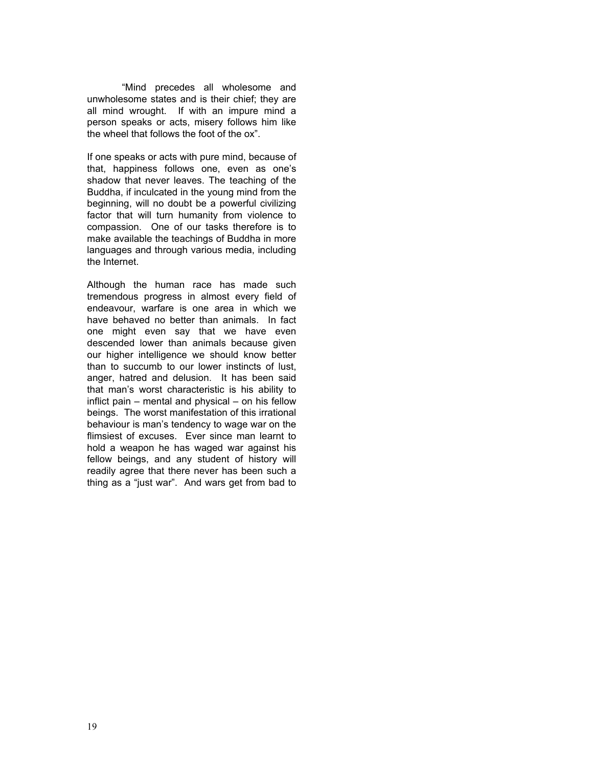"Mind precedes all wholesome and unwholesome states and is their chief; they are all mind wrought. If with an impure mind a person speaks or acts, misery follows him like the wheel that follows the foot of the ox".

If one speaks or acts with pure mind, because of that, happiness follows one, even as one's shadow that never leaves. The teaching of the Buddha, if inculcated in the young mind from the beginning, will no doubt be a powerful civilizing factor that will turn humanity from violence to compassion. One of our tasks therefore is to make available the teachings of Buddha in more languages and through various media, including the Internet.

Although the human race has made such tremendous progress in almost every field of endeavour, warfare is one area in which we have behaved no better than animals. In fact one might even say that we have even descended lower than animals because given our higher intelligence we should know better than to succumb to our lower instincts of lust, anger, hatred and delusion. It has been said that man's worst characteristic is his ability to inflict pain – mental and physical – on his fellow beings. The worst manifestation of this irrational behaviour is man's tendency to wage war on the flimsiest of excuses. Ever since man learnt to hold a weapon he has waged war against his fellow beings, and any student of history will readily agree that there never has been such a thing as a "just war". And wars get from bad to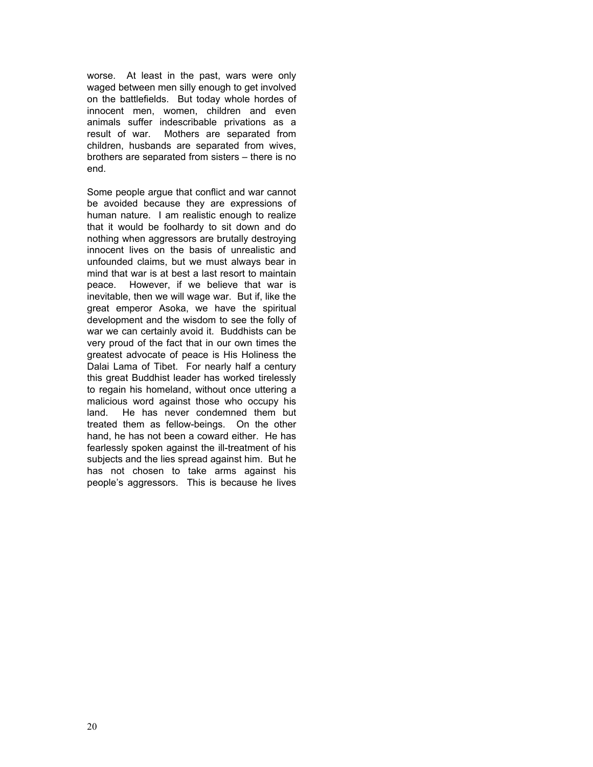worse. At least in the past, wars were only waged between men silly enough to get involved on the battlefields. But today whole hordes of innocent men, women, children and even animals suffer indescribable privations as a result of war. Mothers are separated from children, husbands are separated from wives, brothers are separated from sisters – there is no end.

Some people argue that conflict and war cannot be avoided because they are expressions of human nature. I am realistic enough to realize that it would be foolhardy to sit down and do nothing when aggressors are brutally destroying innocent lives on the basis of unrealistic and unfounded claims, but we must always bear in mind that war is at best a last resort to maintain peace. However, if we believe that war is inevitable, then we will wage war. But if, like the great emperor Asoka, we have the spiritual development and the wisdom to see the folly of war we can certainly avoid it. Buddhists can be very proud of the fact that in our own times the greatest advocate of peace is His Holiness the Dalai Lama of Tibet. For nearly half a century this great Buddhist leader has worked tirelessly to regain his homeland, without once uttering a malicious word against those who occupy his land. He has never condemned them but treated them as fellow-beings. On the other hand, he has not been a coward either. He has fearlessly spoken against the ill-treatment of his subjects and the lies spread against him. But he has not chosen to take arms against his people's aggressors. This is because he lives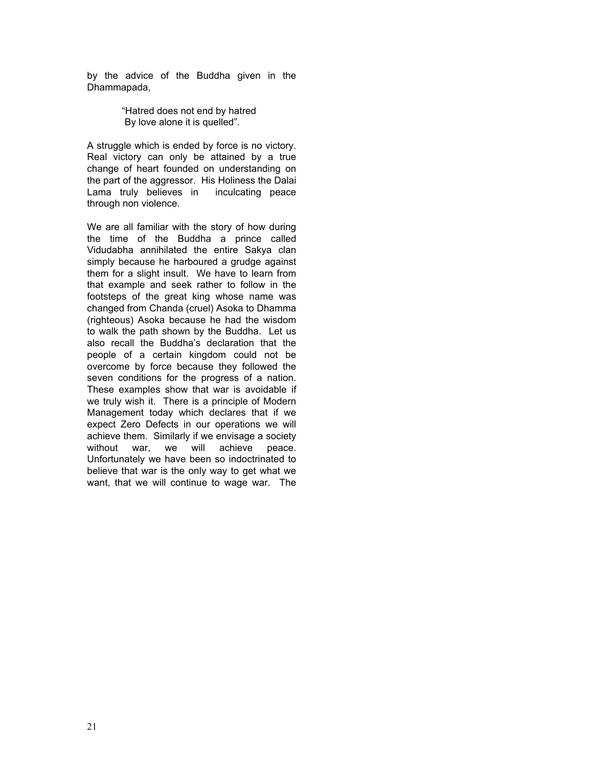by the advice of the Buddha given in the Dhammapada,

> "Hatred does not end by hatred By love alone it is quelled".

A struggle which is ended by force is no victory. Real victory can only be attained by a true change of heart founded on understanding on the part of the aggressor. His Holiness the Dalai Lama truly believes in inculcating peace through non violence.

We are all familiar with the story of how during the time of the Buddha a prince called Vidudabha annihilated the entire Sakya clan simply because he harboured a grudge against them for a slight insult. We have to learn from that example and seek rather to follow in the footsteps of the great king whose name was changed from Chanda (cruel) Asoka to Dhamma (righteous) Asoka because he had the wisdom to walk the path shown by the Buddha. Let us also recall the Buddha's declaration that the people of a certain kingdom could not be overcome by force because they followed the seven conditions for the progress of a nation. These examples show that war is avoidable if we truly wish it. There is a principle of Modern Management today which declares that if we expect Zero Defects in our operations we will achieve them. Similarly if we envisage a society without war, we will achieve peace. Unfortunately we have been so indoctrinated to believe that war is the only way to get what we want, that we will continue to wage war. The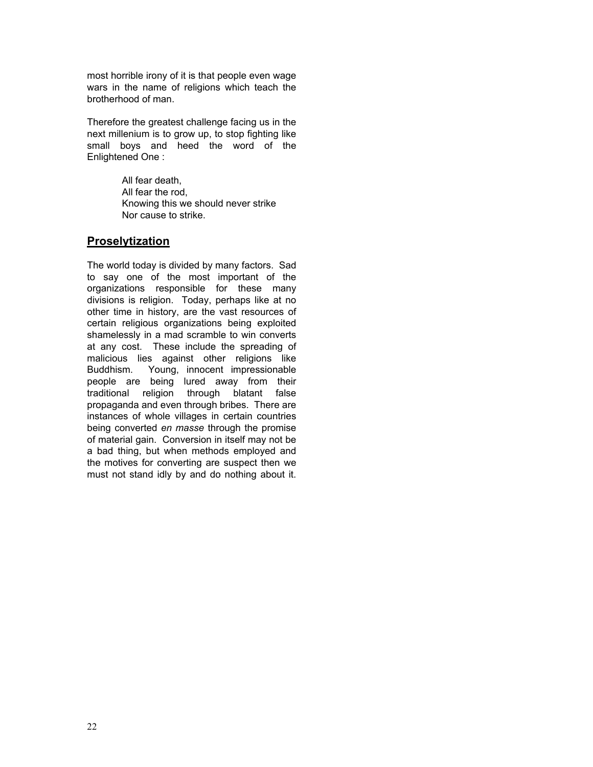most horrible irony of it is that people even wage wars in the name of religions which teach the brotherhood of man.

Therefore the greatest challenge facing us in the next millenium is to grow up, to stop fighting like small boys and heed the word of the Enlightened One :

> All fear death, All fear the rod, Knowing this we should never strike Nor cause to strike.

#### **Proselytization**

The world today is divided by many factors. Sad to say one of the most important of the organizations responsible for these many divisions is religion. Today, perhaps like at no other time in history, are the vast resources of certain religious organizations being exploited shamelessly in a mad scramble to win converts at any cost. These include the spreading of malicious lies against other religions like Buddhism. Young, innocent impressionable people are being lured away from their traditional religion through blatant false propaganda and even through bribes. There are instances of whole villages in certain countries being converted *en masse* through the promise of material gain. Conversion in itself may not be a bad thing, but when methods employed and the motives for converting are suspect then we must not stand idly by and do nothing about it.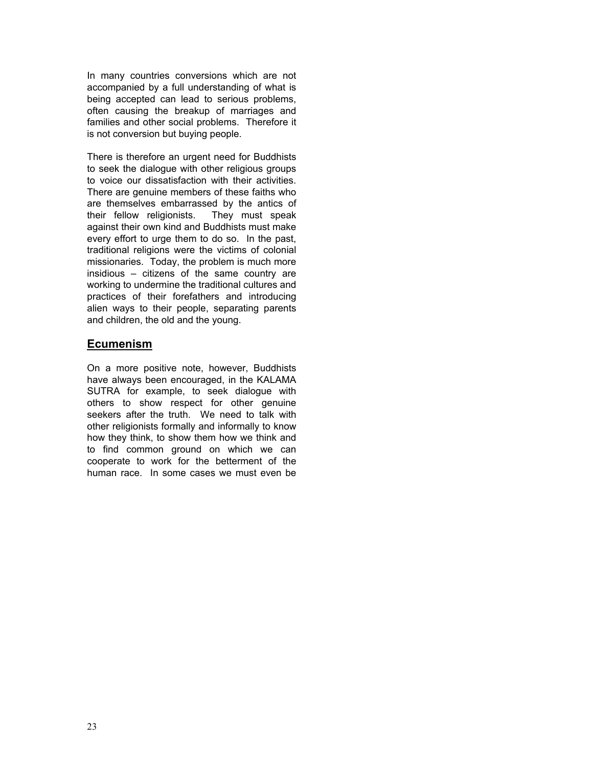In many countries conversions which are not accompanied by a full understanding of what is being accepted can lead to serious problems, often causing the breakup of marriages and families and other social problems. Therefore it is not conversion but buying people.

There is therefore an urgent need for Buddhists to seek the dialogue with other religious groups to voice our dissatisfaction with their activities. There are genuine members of these faiths who are themselves embarrassed by the antics of their fellow religionists. They must speak against their own kind and Buddhists must make every effort to urge them to do so. In the past, traditional religions were the victims of colonial missionaries. Today, the problem is much more insidious – citizens of the same country are working to undermine the traditional cultures and practices of their forefathers and introducing alien ways to their people, separating parents and children, the old and the young.

#### **Ecumenism**

On a more positive note, however, Buddhists have always been encouraged, in the KALAMA SUTRA for example, to seek dialogue with others to show respect for other genuine seekers after the truth. We need to talk with other religionists formally and informally to know how they think, to show them how we think and to find common ground on which we can cooperate to work for the betterment of the human race. In some cases we must even be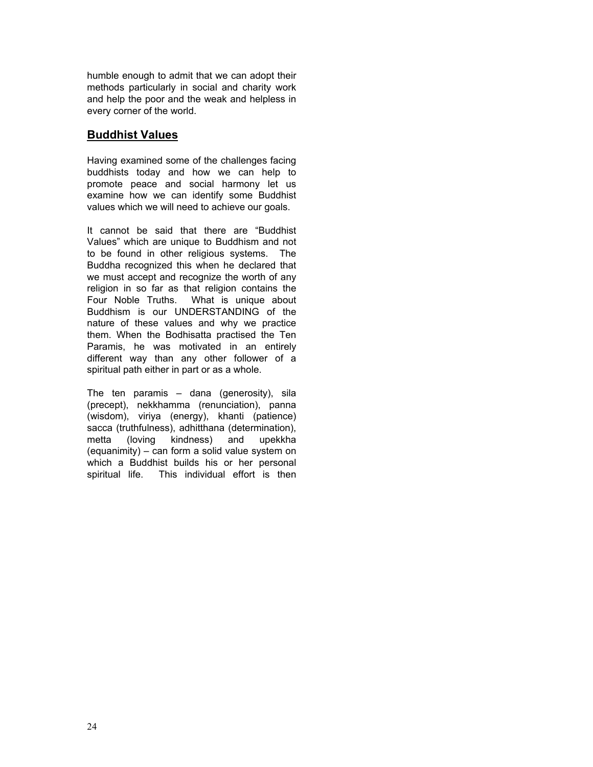humble enough to admit that we can adopt their methods particularly in social and charity work and help the poor and the weak and helpless in every corner of the world.

# **Buddhist Values**

Having examined some of the challenges facing buddhists today and how we can help to promote peace and social harmony let us examine how we can identify some Buddhist values which we will need to achieve our goals.

It cannot be said that there are "Buddhist Values" which are unique to Buddhism and not to be found in other religious systems. The Buddha recognized this when he declared that we must accept and recognize the worth of any religion in so far as that religion contains the Four Noble Truths. What is unique about Buddhism is our UNDERSTANDING of the nature of these values and why we practice them. When the Bodhisatta practised the Ten Paramis, he was motivated in an entirely different way than any other follower of a spiritual path either in part or as a whole.

The ten paramis – dana (generosity), sila (precept), nekkhamma (renunciation), panna (wisdom), viriya (energy), khanti (patience) sacca (truthfulness), adhitthana (determination), metta (loving kindness) and upekkha (equanimity) – can form a solid value system on which a Buddhist builds his or her personal spiritual life. This individual effort is then